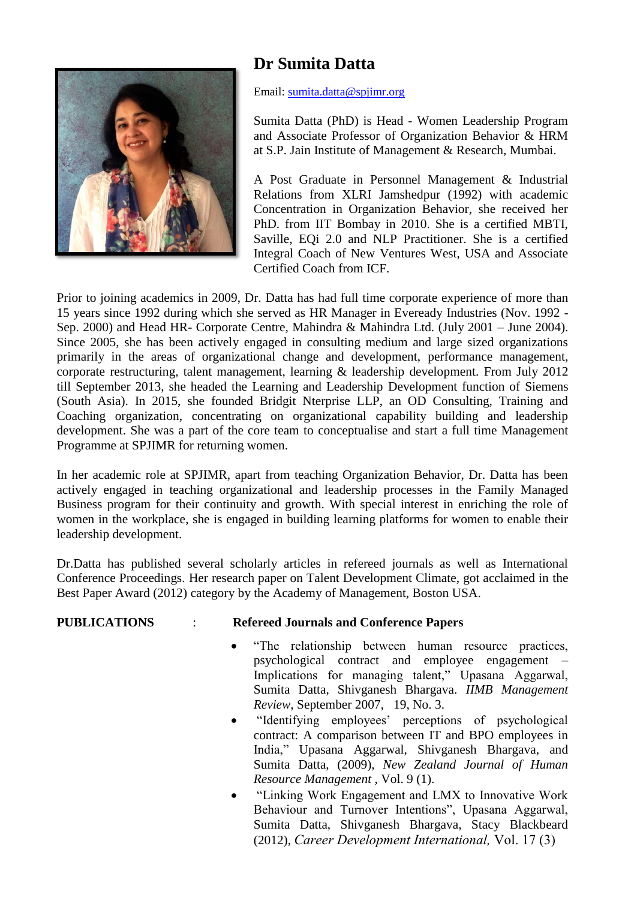

## **Dr Sumita Datta**

Email: [sumita.datta@spjimr.org](mailto:drsumitadatta@gmail.com)

Sumita Datta (PhD) is Head - Women Leadership Program and Associate Professor of Organization Behavior & HRM at S.P. Jain Institute of Management & Research, Mumbai.

A Post Graduate in Personnel Management & Industrial Relations from XLRI Jamshedpur (1992) with academic Concentration in Organization Behavior, she received her PhD. from IIT Bombay in 2010. She is a certified MBTI, Saville, EQi 2.0 and NLP Practitioner. She is a certified Integral Coach of New Ventures West, USA and Associate Certified Coach from ICF.

Prior to joining academics in 2009, Dr. Datta has had full time corporate experience of more than 15 years since 1992 during which she served as HR Manager in Eveready Industries (Nov. 1992 - Sep. 2000) and Head HR- Corporate Centre, Mahindra & Mahindra Ltd. (July 2001 – June 2004). Since 2005, she has been actively engaged in consulting medium and large sized organizations primarily in the areas of organizational change and development, performance management, corporate restructuring, talent management, learning & leadership development. From July 2012 till September 2013, she headed the Learning and Leadership Development function of Siemens (South Asia). In 2015, she founded Bridgit Nterprise LLP, an OD Consulting, Training and Coaching organization, concentrating on organizational capability building and leadership development. She was a part of the core team to conceptualise and start a full time Management Programme at SPJIMR for returning women.

In her academic role at SPJIMR, apart from teaching Organization Behavior, Dr. Datta has been actively engaged in teaching organizational and leadership processes in the Family Managed Business program for their continuity and growth. With special interest in enriching the role of women in the workplace, she is engaged in building learning platforms for women to enable their leadership development.

Dr.Datta has published several scholarly articles in refereed journals as well as International Conference Proceedings. Her research paper on Talent Development Climate, got acclaimed in the Best Paper Award (2012) category by the Academy of Management, Boston USA.

## **PUBLICATIONS** : **Refereed Journals and Conference Papers**

- "The relationship between human resource practices, psychological contract and employee engagement – Implications for managing talent," Upasana Aggarwal, Sumita Datta, Shivganesh Bhargava. *IIMB Management Review*, September 2007, 19, No. 3.
- "Identifying employees' perceptions of psychological contract: A comparison between IT and BPO employees in India," Upasana Aggarwal, Shivganesh Bhargava, and Sumita Datta, (2009), *New Zealand Journal of Human Resource Management* , Vol. 9 (1).
- "Linking Work Engagement and LMX to Innovative Work Behaviour and Turnover Intentions", Upasana Aggarwal, Sumita Datta, Shivganesh Bhargava, Stacy Blackbeard (2012), *Career Development International,* Vol. 17 (3)